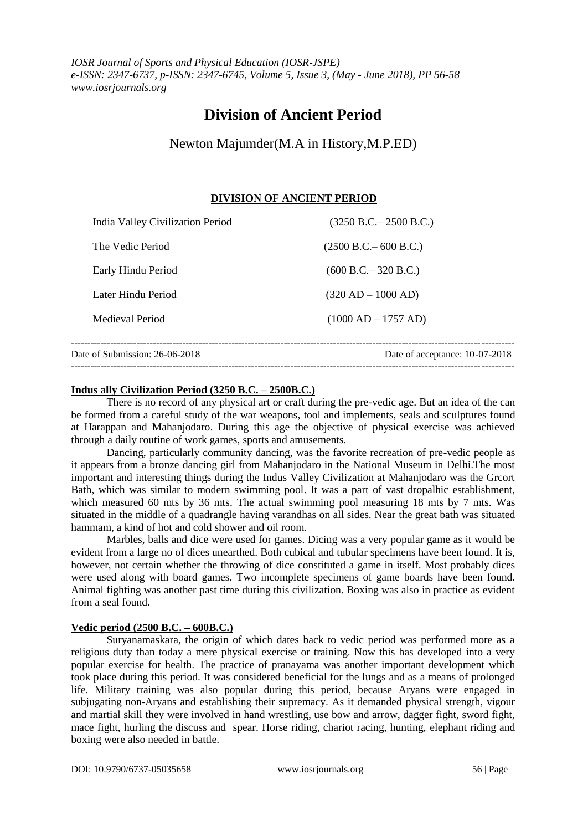# **Division of Ancient Period**

Newton Majumder(M.A in History,M.P.ED)

### **DIVISION OF ANCIENT PERIOD**

| Date of Submission: 26-06-2018<br>Date of acceptance: 10-07-2018 |                                  |                           |
|------------------------------------------------------------------|----------------------------------|---------------------------|
|                                                                  | Medieval Period                  | $(1000 AD - 1757 AD)$     |
|                                                                  | Later Hindu Period               | $(320 AD - 1000 AD)$      |
|                                                                  | Early Hindu Period               | (600 B.C. – 320 B.C.)     |
|                                                                  | The Vedic Period                 | (2500 B.C. – 600 B.C.)    |
|                                                                  | India Valley Civilization Period | $(3250 B.C. - 2500 B.C.)$ |

#### **Indus ally Civilization Period (3250 B.C. – 2500B.C.)**

There is no record of any physical art or craft during the pre-vedic age. But an idea of the can be formed from a careful study of the war weapons, tool and implements, seals and sculptures found at Harappan and Mahanjodaro. During this age the objective of physical exercise was achieved through a daily routine of work games, sports and amusements.

Dancing, particularly community dancing, was the favorite recreation of pre-vedic people as it appears from a bronze dancing girl from Mahanjodaro in the National Museum in Delhi.The most important and interesting things during the Indus Valley Civilization at Mahanjodaro was the Grcort Bath, which was similar to modern swimming pool. It was a part of vast dropalhic establishment, which measured 60 mts by 36 mts. The actual swimming pool measuring 18 mts by 7 mts. Was situated in the middle of a quadrangle having varandhas on all sides. Near the great bath was situated hammam, a kind of hot and cold shower and oil room.

Marbles, balls and dice were used for games. Dicing was a very popular game as it would be evident from a large no of dices unearthed. Both cubical and tubular specimens have been found. It is, however, not certain whether the throwing of dice constituted a game in itself. Most probably dices were used along with board games. Two incomplete specimens of game boards have been found. Animal fighting was another past time during this civilization. Boxing was also in practice as evident from a seal found.

#### **Vedic period (2500 B.C. – 600B.C.)**

Suryanamaskara, the origin of which dates back to vedic period was performed more as a religious duty than today a mere physical exercise or training. Now this has developed into a very popular exercise for health. The practice of pranayama was another important development which took place during this period. It was considered beneficial for the lungs and as a means of prolonged life. Military training was also popular during this period, because Aryans were engaged in subjugating non-Aryans and establishing their supremacy. As it demanded physical strength, vigour and martial skill they were involved in hand wrestling, use bow and arrow, dagger fight, sword fight, mace fight, hurling the discuss and spear. Horse riding, chariot racing, hunting, elephant riding and boxing were also needed in battle.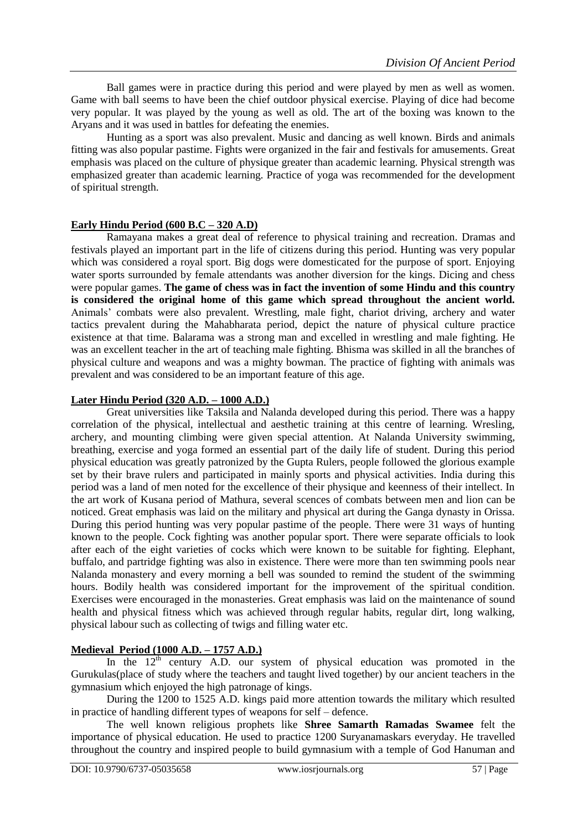Ball games were in practice during this period and were played by men as well as women. Game with ball seems to have been the chief outdoor physical exercise. Playing of dice had become very popular. It was played by the young as well as old. The art of the boxing was known to the Aryans and it was used in battles for defeating the enemies.

Hunting as a sport was also prevalent. Music and dancing as well known. Birds and animals fitting was also popular pastime. Fights were organized in the fair and festivals for amusements. Great emphasis was placed on the culture of physique greater than academic learning. Physical strength was emphasized greater than academic learning. Practice of yoga was recommended for the development of spiritual strength.

#### **Early Hindu Period (600 B.C – 320 A.D)**

Ramayana makes a great deal of reference to physical training and recreation. Dramas and festivals played an important part in the life of citizens during this period. Hunting was very popular which was considered a royal sport. Big dogs were domesticated for the purpose of sport. Enjoying water sports surrounded by female attendants was another diversion for the kings. Dicing and chess were popular games. **The game of chess was in fact the invention of some Hindu and this country is considered the original home of this game which spread throughout the ancient world.**  Animals' combats were also prevalent. Wrestling, male fight, chariot driving, archery and water tactics prevalent during the Mahabharata period, depict the nature of physical culture practice existence at that time. Balarama was a strong man and excelled in wrestling and male fighting. He was an excellent teacher in the art of teaching male fighting. Bhisma was skilled in all the branches of physical culture and weapons and was a mighty bowman. The practice of fighting with animals was prevalent and was considered to be an important feature of this age.

#### **Later Hindu Period (320 A.D. – 1000 A.D.)**

Great universities like Taksila and Nalanda developed during this period. There was a happy correlation of the physical, intellectual and aesthetic training at this centre of learning. Wresling, archery, and mounting climbing were given special attention. At Nalanda University swimming, breathing, exercise and yoga formed an essential part of the daily life of student. During this period physical education was greatly patronized by the Gupta Rulers, people followed the glorious example set by their brave rulers and participated in mainly sports and physical activities. India during this period was a land of men noted for the excellence of their physique and keenness of their intellect. In the art work of Kusana period of Mathura, several scences of combats between men and lion can be noticed. Great emphasis was laid on the military and physical art during the Ganga dynasty in Orissa. During this period hunting was very popular pastime of the people. There were 31 ways of hunting known to the people. Cock fighting was another popular sport. There were separate officials to look after each of the eight varieties of cocks which were known to be suitable for fighting. Elephant, buffalo, and partridge fighting was also in existence. There were more than ten swimming pools near Nalanda monastery and every morning a bell was sounded to remind the student of the swimming hours. Bodily health was considered important for the improvement of the spiritual condition. Exercises were encouraged in the monasteries. Great emphasis was laid on the maintenance of sound health and physical fitness which was achieved through regular habits, regular dirt, long walking, physical labour such as collecting of twigs and filling water etc.

## **Medieval Period (1000 A.D. – 1757 A.D.)**

In the  $12<sup>th</sup>$  century A.D. our system of physical education was promoted in the Gurukulas(place of study where the teachers and taught lived together) by our ancient teachers in the gymnasium which enjoyed the high patronage of kings.

During the 1200 to 1525 A.D. kings paid more attention towards the military which resulted in practice of handling different types of weapons for self – defence.

The well known religious prophets like **Shree Samarth Ramadas Swamee** felt the importance of physical education. He used to practice 1200 Suryanamaskars everyday. He travelled throughout the country and inspired people to build gymnasium with a temple of God Hanuman and